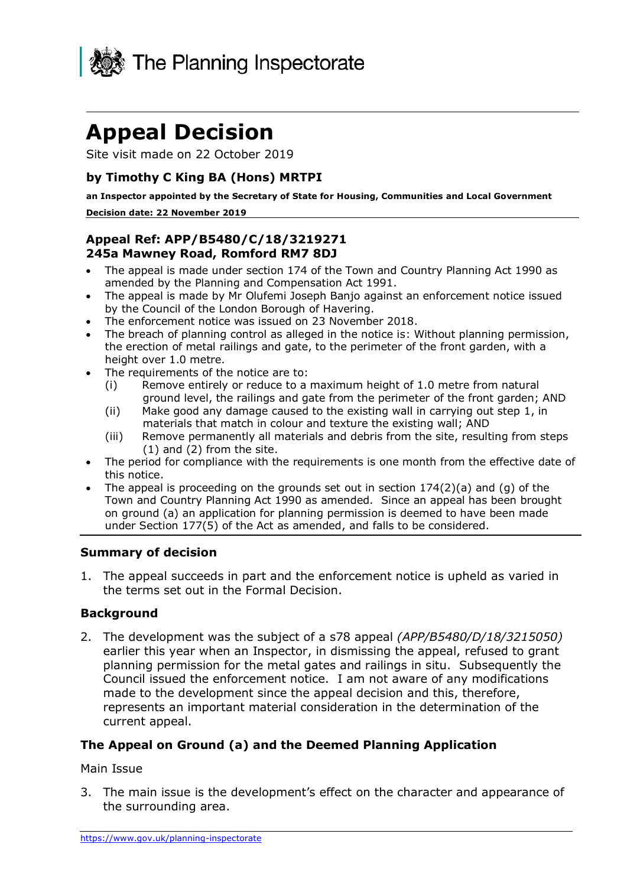

# **Appeal Decision**

Site visit made on 22 October 2019

# **by Timothy C King BA (Hons) MRTPI**

**an Inspector appointed by the Secretary of State for Housing, Communities and Local Government Decision date: 22 November 2019** 

### **Appeal Ref: APP/B5480/C/18/3219271 245a Mawney Road, Romford RM7 8DJ**

- • The appeal is made under section 174 of the Town and Country Planning Act 1990 as amended by the Planning and Compensation Act 1991.
- • The appeal is made by Mr Olufemi Joseph Banjo against an enforcement notice issued by the Council of the London Borough of Havering.
- The enforcement notice was issued on 23 November 2018.
- • The breach of planning control as alleged in the notice is: Without planning permission, the erection of metal railings and gate, to the perimeter of the front garden, with a height over 1.0 metre.
- • The requirements of the notice are to:
	- ground level, the railings and gate from the perimeter of the front garden; AND (i) Remove entirely or reduce to a maximum height of 1.0 metre from natural
	- materials that match in colour and texture the existing wall; AND (ii) Make good any damage caused to the existing wall in carrying out step 1, in
	- (1) and (2) from the site. (iii) Remove permanently all materials and debris from the site, resulting from steps
- • The period for compliance with the requirements is one month from the effective date of this notice.
- • The appeal is proceeding on the grounds set out in section 174(2)(a) and (g) of the Town and Country Planning Act 1990 as amended. Since an appeal has been brought on ground (a) an application for planning permission is deemed to have been made under Section 177(5) of the Act as amended, and falls to be considered.

#### **Summary of decision**

 1. The appeal succeeds in part and the enforcement notice is upheld as varied in the terms set out in the Formal Decision.

#### **Background**

 2. The development was the subject of a s78 appeal *(APP/B5480/D/18/3215050)* earlier this year when an Inspector, in dismissing the appeal, refused to grant planning permission for the metal gates and railings in situ. Subsequently the Council issued the enforcement notice. I am not aware of any modifications made to the development since the appeal decision and this, therefore, represents an important material consideration in the determination of the current appeal.

# **The Appeal on Ground (a) and the Deemed Planning Application**

#### Main Issue

 3. The main issue is the development's effect on the character and appearance of the surrounding area.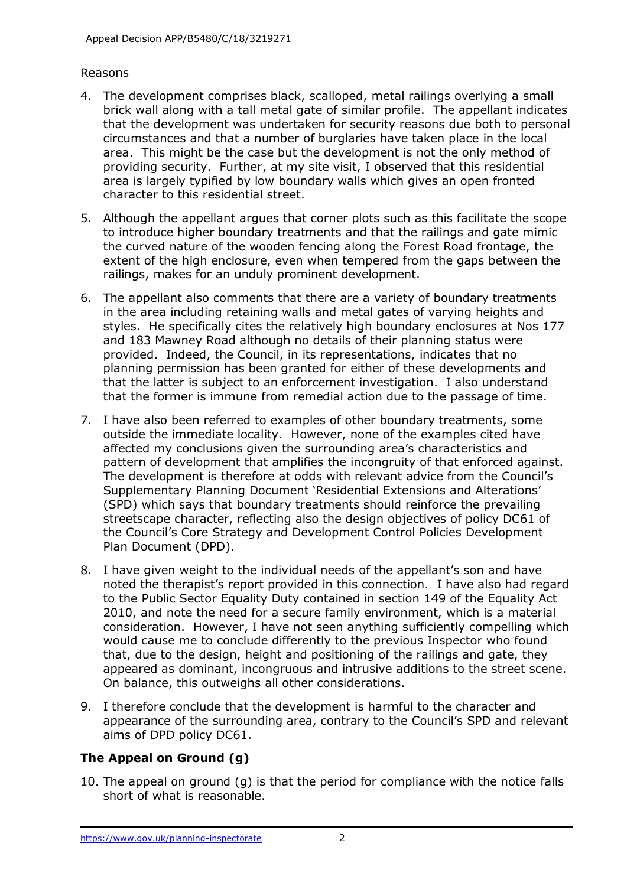#### Reasons

- 4. The development comprises black, scalloped, metal railings overlying a small brick wall along with a tall metal gate of similar profile. The appellant indicates that the development was undertaken for security reasons due both to personal circumstances and that a number of burglaries have taken place in the local area. This might be the case but the development is not the only method of providing security. Further, at my site visit, I observed that this residential area is largely typified by low boundary walls which gives an open fronted character to this residential street.
- 5. Although the appellant argues that corner plots such as this facilitate the scope to introduce higher boundary treatments and that the railings and gate mimic the curved nature of the wooden fencing along the Forest Road frontage, the extent of the high enclosure, even when tempered from the gaps between the railings, makes for an unduly prominent development.
- 6. The appellant also comments that there are a variety of boundary treatments in the area including retaining walls and metal gates of varying heights and styles. He specifically cites the relatively high boundary enclosures at Nos 177 and 183 Mawney Road although no details of their planning status were provided. Indeed, the Council, in its representations, indicates that no planning permission has been granted for either of these developments and that the latter is subject to an enforcement investigation. I also understand that the former is immune from remedial action due to the passage of time.
- 7. I have also been referred to examples of other boundary treatments, some outside the immediate locality. However, none of the examples cited have affected my conclusions given the surrounding area's characteristics and pattern of development that amplifies the incongruity of that enforced against. The development is therefore at odds with relevant advice from the Council's Supplementary Planning Document 'Residential Extensions and Alterations' (SPD) which says that boundary treatments should reinforce the prevailing streetscape character, reflecting also the design objectives of policy DC61 of the Council's Core Strategy and Development Control Policies Development Plan Document (DPD).
- 8. I have given weight to the individual needs of the appellant's son and have noted the therapist's report provided in this connection. I have also had regard to the Public Sector Equality Duty contained in section 149 of the Equality Act 2010, and note the need for a secure family environment, which is a material consideration. However, I have not seen anything sufficiently compelling which would cause me to conclude differently to the previous Inspector who found that, due to the design, height and positioning of the railings and gate, they appeared as dominant, incongruous and intrusive additions to the street scene. On balance, this outweighs all other considerations.
- 9. I therefore conclude that the development is harmful to the character and appearance of the surrounding area, contrary to the Council's SPD and relevant aims of DPD policy DC61.

# **The Appeal on Ground (g)**

 10. The appeal on ground (g) is that the period for compliance with the notice falls short of what is reasonable.